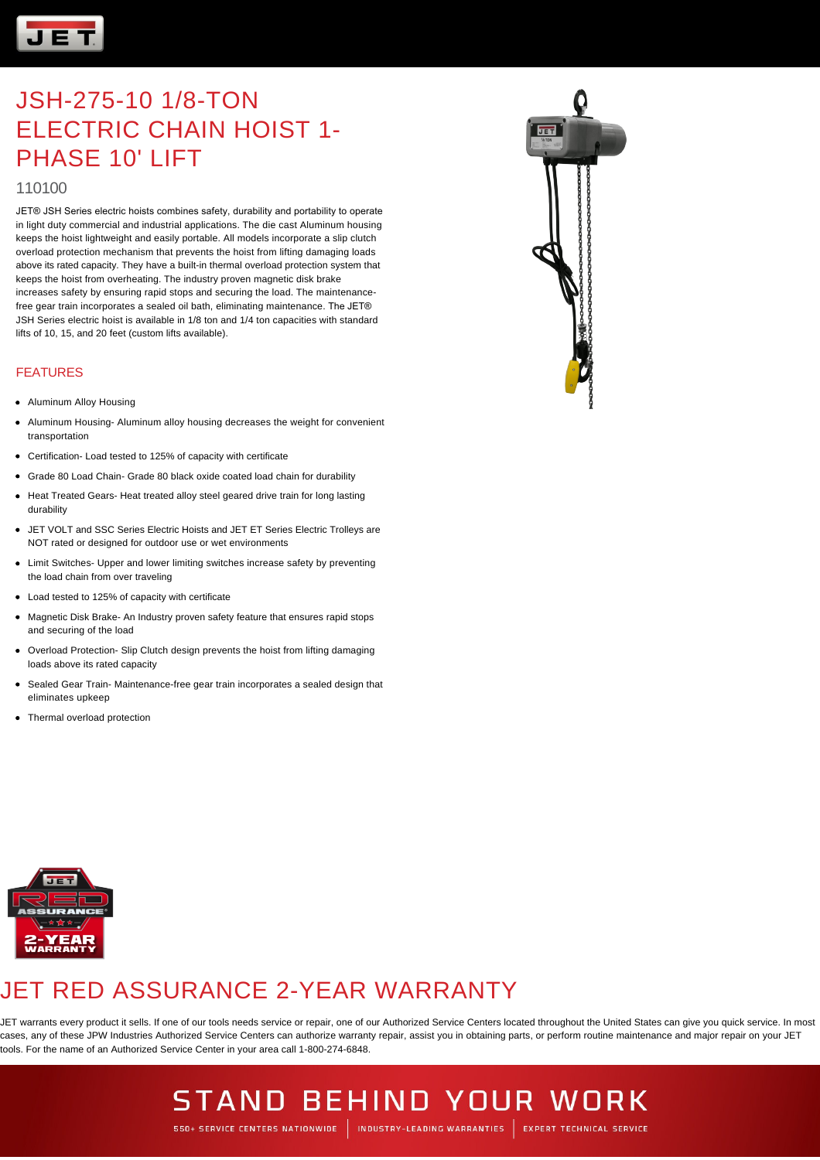

### JSH-275-10 1/8-TON ELECTRIC CHAIN HOIST 1- PHASE 10' LIFT

#### 110100

JET® JSH Series electric hoists combines safety, durability and portability to operate in light duty commercial and industrial applications. The die cast Aluminum housing keeps the hoist lightweight and easily portable. All models incorporate a slip clutch overload protection mechanism that prevents the hoist from lifting damaging loads above its rated capacity. They have a built-in thermal overload protection system that keeps the hoist from overheating. The industry proven magnetic disk brake increases safety by ensuring rapid stops and securing the load. The maintenancefree gear train incorporates a sealed oil bath, eliminating maintenance. The JET® JSH Series electric hoist is available in 1/8 ton and 1/4 ton capacities with standard lifts of 10, 15, and 20 feet (custom lifts available).

#### FEATURES

- Aluminum Alloy Housing
- Aluminum Housing- Aluminum alloy housing decreases the weight for convenient transportation
- Certification- Load tested to 125% of capacity with certificate
- Grade 80 Load Chain- Grade 80 black oxide coated load chain for durability
- Heat Treated Gears- Heat treated alloy steel geared drive train for long lasting durability
- JET VOLT and SSC Series Electric Hoists and JET ET Series Electric Trolleys are NOT rated or designed for outdoor use or wet environments
- Limit Switches- Upper and lower limiting switches increase safety by preventing the load chain from over traveling
- Load tested to 125% of capacity with certificate
- Magnetic Disk Brake- An Industry proven safety feature that ensures rapid stops and securing of the load
- Overload Protection- Slip Clutch design prevents the hoist from lifting damaging loads above its rated capacity
- Sealed Gear Train- Maintenance-free gear train incorporates a sealed design that eliminates upkeep
- Thermal overload protection



### JET RED ASSURANCE 2-YEAR WARRANTY

JET warrants every product it sells. If one of our tools needs service or repair, one of our Authorized Service Centers located throughout the United States can give you quick service. In most cases, any of these JPW Industries Authorized Service Centers can authorize warranty repair, assist you in obtaining parts, or perform routine maintenance and major repair on your JET tools. For the name of an Authorized Service Center in your area call 1-800-274-6848.



## **STAND BEHIND YOUR WORK**

550+ SERVICE CENTERS NATIONWIDE | INDUSTRY-LEADING WARRANTIES | EXPERT TECHNICAL SERVICE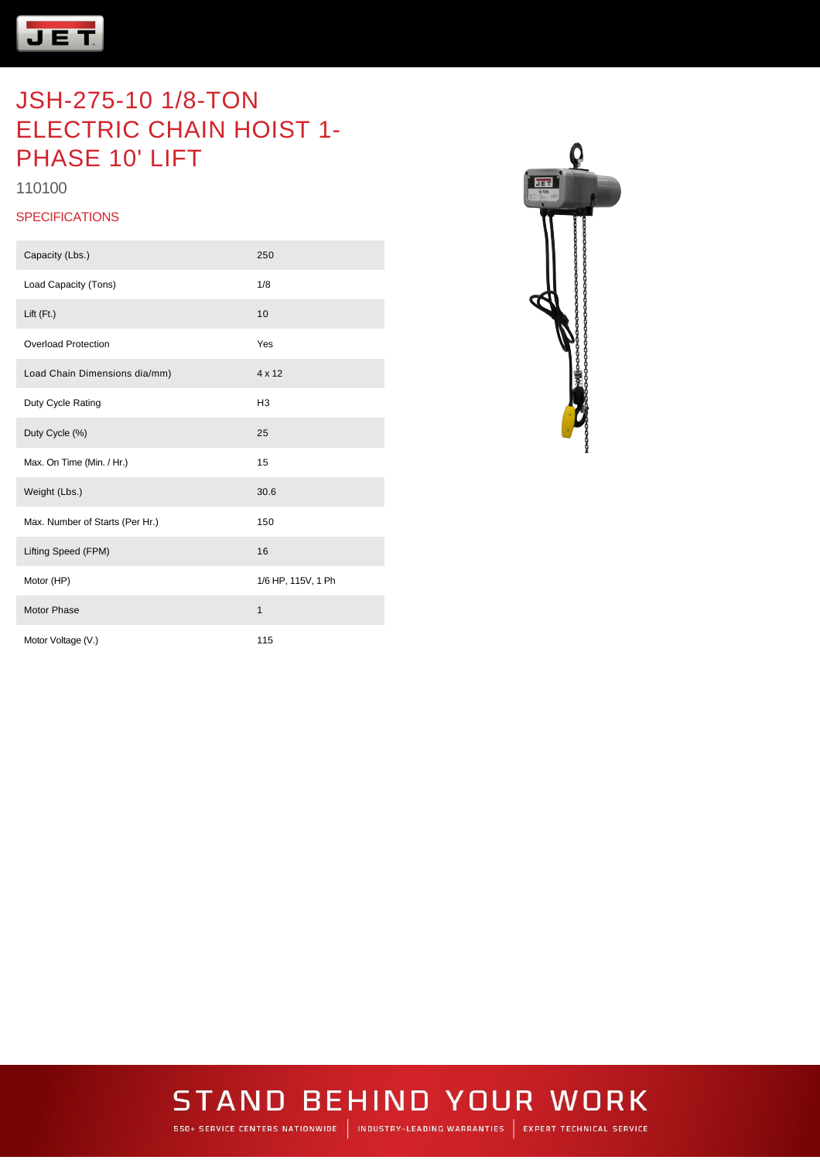

### JSH-275-10 1/8-TON ELECTRIC CHAIN HOIST 1- PHASE 10' LIFT

110100

#### **SPECIFICATIONS**

| Capacity (Lbs.)                 | 250                |
|---------------------------------|--------------------|
| Load Capacity (Tons)            | 1/8                |
| Lift (Ft.)                      | 10                 |
| <b>Overload Protection</b>      | Yes                |
| Load Chain Dimensions dia/mm)   | 4 x 12             |
| Duty Cycle Rating               | H <sub>3</sub>     |
| Duty Cycle (%)                  | 25                 |
| Max. On Time (Min. / Hr.)       | 15                 |
| Weight (Lbs.)                   | 30.6               |
| Max. Number of Starts (Per Hr.) | 150                |
| Lifting Speed (FPM)             | 16                 |
| Motor (HP)                      | 1/6 HP, 115V, 1 Ph |
| Motor Phase                     | $\mathbf{1}$       |
| Motor Voltage (V.)              | 115                |



# **STAND BEHIND YOUR WORK**

550+ SERVICE CENTERS NATIONWIDE | INDUSTRY-LEADING WARRANTIES | EXPERT TECHNICAL SERVICE